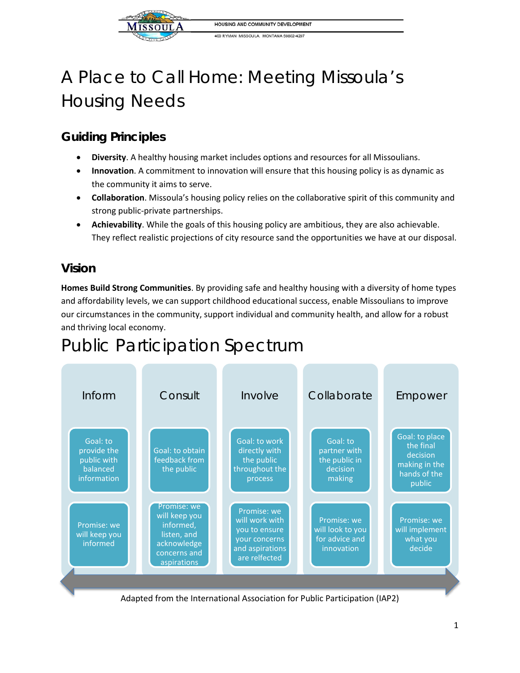

400 RYMAN MISSOULA, MONTANA 59802-4297

# A Place to Call Home: Meeting Missoula's Housing Needs

## **Guiding Principles**

- **Diversity**. A healthy housing market includes options and resources for all Missoulians.
- **Innovation**. A commitment to innovation will ensure that this housing policy is as dynamic as the community it aims to serve.
- **Collaboration**. Missoula's housing policy relies on the collaborative spirit of this community and strong public-private partnerships.
- **Achievability**. While the goals of this housing policy are ambitious, they are also achievable. They reflect realistic projections of city resource sand the opportunities we have at our disposal.

## **Vision**

**Homes Build Strong Communities**. By providing safe and healthy housing with a diversity of home types and affordability levels, we can support childhood educational success, enable Missoulians to improve our circumstances in the community, support individual and community health, and allow for a robust and thriving local economy.

## Public Participation Spectrum



Adapted from the International Association for Public Participation (IAP2)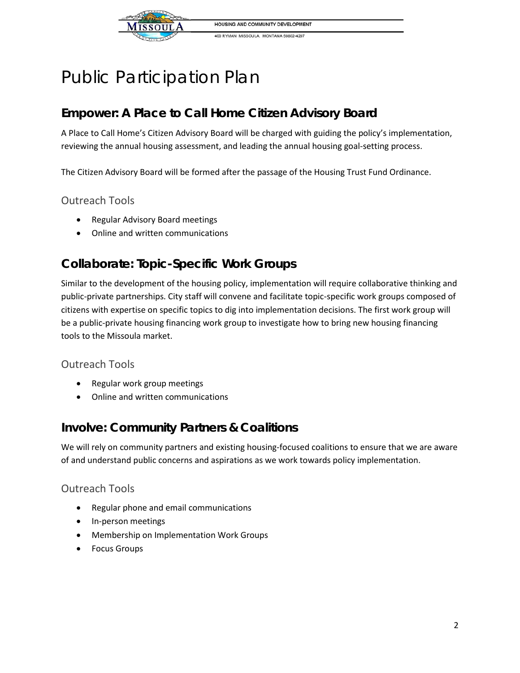

400 RYMAN MISSOULA, MONTANA 59802-4297

## Public Participation Plan

## **Empower: A Place to Call Home Citizen Advisory Board**

A Place to Call Home's Citizen Advisory Board will be charged with guiding the policy's implementation, reviewing the annual housing assessment, and leading the annual housing goal-setting process.

The Citizen Advisory Board will be formed after the passage of the Housing Trust Fund Ordinance.

#### Outreach Tools

- Regular Advisory Board meetings
- Online and written communications

## **Collaborate: Topic-Specific Work Groups**

Similar to the development of the housing policy, implementation will require collaborative thinking and public-private partnerships. City staff will convene and facilitate topic-specific work groups composed of citizens with expertise on specific topics to dig into implementation decisions. The first work group will be a public-private housing financing work group to investigate how to bring new housing financing tools to the Missoula market.

#### Outreach Tools

- Regular work group meetings
- Online and written communications

### **Involve: Community Partners & Coalitions**

We will rely on community partners and existing housing-focused coalitions to ensure that we are aware of and understand public concerns and aspirations as we work towards policy implementation.

#### Outreach Tools

- Regular phone and email communications
- In-person meetings
- Membership on Implementation Work Groups
- Focus Groups